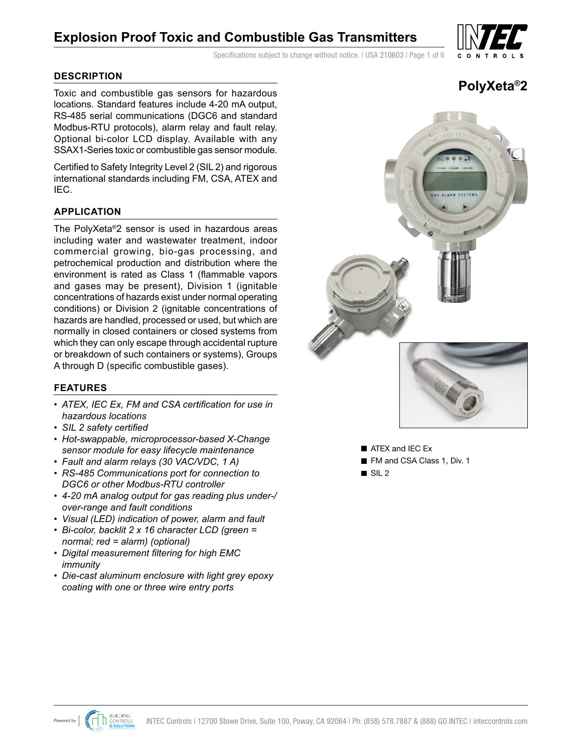# **Explosion Proof Toxic and Combustible Gas Transmitters**

Specifications subject to change without notice. I USA 210603 | Page 1 of 6

### **DESCRIPTION**

Toxic and combustible gas sensors for hazardous locations. Standard features include 4-20 mA output, RS-485 serial communications (DGC6 and standard Modbus-RTU protocols), alarm relay and fault relay. Optional bi-color LCD display. Available with any SSAX1-Series toxic or combustible gas sensor module.

Certified to Safety Integrity Level 2 (SIL 2) and rigorous international standards including FM, CSA, ATEX and IEC.

### **APPLICATION**

The PolyXeta®2 sensor is used in hazardous areas including water and wastewater treatment, indoor commercial growing, bio-gas processing, and petrochemical production and distribution where the environment is rated as Class 1 (flammable vapors and gases may be present), Division 1 (ignitable concentrations of hazards exist under normal operating conditions) or Division 2 (ignitable concentrations of hazards are handled, processed or used, but which are normally in closed containers or closed systems from which they can only escape through accidental rupture or breakdown of such containers or systems), Groups A through D (specific combustible gases).

### **FEATURES**

- *• ATEX, IEC Ex, FM and CSA certification for use in hazardous locations*
- *• SIL 2 safety certified*
- *• Hot-swappable, microprocessor-based X-Change sensor module for easy lifecycle maintenance*
- *• Fault and alarm relays (30 VAC/VDC, 1 A)*
- *• RS-485 Communications port for connection to DGC6 or other Modbus-RTU controller*
- *• 4-20 mA analog output for gas reading plus under-/ over-range and fault conditions*
- *• Visual (LED) indication of power, alarm and fault*
- *• Bi-color, backlit 2 x 16 character LCD (green = normal; red = alarm) (optional)*
- *• Digital measurement filtering for high EMC immunity*
- *• Die-cast aluminum enclosure with light grey epoxy coating with one or three wire entry ports*





**EX** ATEX and IEC Ex

FM and CSA Class 1, Div. 1

 $\blacksquare$  SIL 2



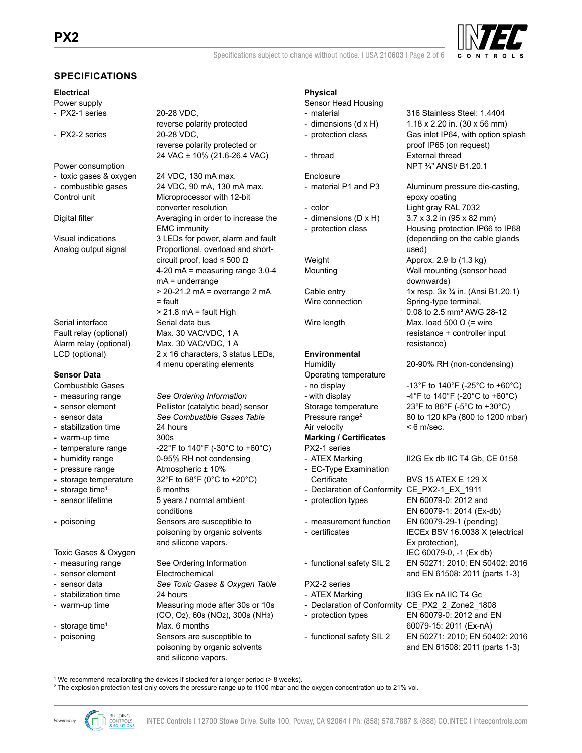

Specifications subject to change without notice. | USA 210603 | Page 2 of 6

### **SPECIFICATIONS**

### **Electrical**

Power supply

- PX2-2 series 20-28 VDC,

- Power consumption
- toxic gases & oxygen 24 VDC, 130 mA max.
- 

Serial interface Serial data bus

### **Sensor Data**

- Combustible Gases
- 
- 
- 
- **-** warm-up time 300s
- 
- 
- 
- 
- 
- 
- 

Toxic Gases & Oxygen

- 
- sensor element Electrochemical
- 
- stabilization time 24 hours
- 
- 
- 

- PX2-1 series 20-28 VDC. reverse polarity protected reverse polarity protected or 24 VAC ± 10% (21.6-26.4 VAC)

- combustible gases 24 VDC, 90 mA, 130 mA max. Control unit Microprocessor with 12-bit converter resolution Digital filter **Averaging in order to increase the** EMC immunity Visual indications 3 LEDs for power, alarm and fault Analog output signal Proportional, overload and shortcircuit proof, load  $\leq$  500  $\Omega$  4-20 mA = measuring range 3.0-4 mA = underrange > 20-21.2 mA = overrange 2 mA  $=$  fault  $> 21.8$  mA = fault High Fault relay (optional) Max. 30 VAC/VDC, 1 A Alarm relay (optional) Max. 30 VAC/VDC, 1 A LCD (optional) 2 x 16 characters, 3 status LEDs, 4 menu operating elements

**-** measuring range *See Ordering Information* **-** sensor element Pellistor (catalytic bead) sensor - sensor data *See Combustible Gases Table* **-** stabilization time 24 hours - temperature range  $-22^\circ$ F to 140 $^\circ$ F (-30 $^\circ$ C to +60 $^\circ$ C) **-** humidity range 0-95% RH not condensing **-** pressure range Atmospheric ± 10% **-** storage temperature 32°F to 68°F (0°C to +20°C) **-** storage time<sup>1</sup> 6 months<br>**-** sensor lifetime 5 years / **5 years / normal ambient** conditions **-** poisoning Sensors are susceptible to poisoning by organic solvents and silicone vapors. - measuring range See Ordering Information

- sensor data *See Toxic Gases & Oxygen Table* - warm-up time Measuring mode after 30s or 10s (CO, O2), 60s (NO2), 300s (NH3) - storage time<sup>1</sup> Max. 6 months - poisoning Sensors are susceptible to poisoning by organic solvents and silicone vapors.

## **Physical**

- Sensor Head Housing - material 316 Stainless Steel: 1.4404 - dimensions  $(d \times H)$  1.18 x 2.20 in. (30 x 56 mm) - protection class Gas inlet IP64, with option splash proof IP65 (on request) - thread External thread NPT ¾" ANSI/ B1.20.1 Enclosure - material P1 and P3 Aluminum pressure die-casting, epoxy coating - color Light gray RAL 7032 - dimensions  $(D \times H)$  3.7 x 3.2 in (95 x 82 mm) - protection class Housing protection IP66 to IP68 (depending on the cable glands used) Weight **Approx.** 2.9 lb (1.3 kg) Mounting Wall mounting (sensor head downwards) Cable entry  $1x$  resp.  $3x \frac{3}{4}$  in. (Ansi B1.20.1) Wire connection Spring-type terminal, 0.08 to 2.5 mm² AWG 28-12 Wire length Max. load 500  $\Omega$  (= wire resistance + controller input resistance) **Environmental** Humidity 20-90% RH (non-condensing) Operating temperature - no display  $-13^\circ$ F to  $140^\circ$ F (-25 $^\circ$ C to +60 $^\circ$ C) - with display  $-4^{\circ}$ F to 140°F (-20°C to +60°C) Storage temperature 23°F to 86°F (-5°C to +30°C) Pressure range<sup>2</sup> 80 to 120 kPa (800 to 1200 mbar) Air velocity  $\leq 6$  m/sec. **Marking / Certificates** PX2-1 series - ATEX Marking II2G Ex db IIC T4 Gb, CE 0158 - EC-Type Examination Certificate BVS 15 ATEX E 129 X - Declaration of Conformity CE\_PX2-1 EX\_1911 - protection types EN 60079-0: 2012 and EN 60079-1: 2014 (Ex-db) - measurement function EN 60079-29-1 (pending) - certificates IECEx BSV 16.0038 X (electrical Ex protection),
- functional safety SIL 2 EN 50271: 2010; EN 50402: 2016

### PX2-2 series

- 
- Declaration of Conformity CE\_PX2\_2\_Zone2\_1808 - protection types EN 60079-0: 2012 and EN 60079-15: 2011 (Ex-nA)
- 

# and EN 61508: 2011 (parts 1-3) - ATEX Marking II3G Ex nA IIC T4 Gc - functional safety SIL 2 EN 50271: 2010; EN 50402: 2016 and EN 61508: 2011 (parts 1-3)

IEC 60079-0, -1 (Ex db)

1 We recommend recalibrating the devices if stocked for a longer period (> 8 weeks).

2 The explosion protection test only covers the pressure range up to 1100 mbar and the oxygen concentration up to 21% vol.

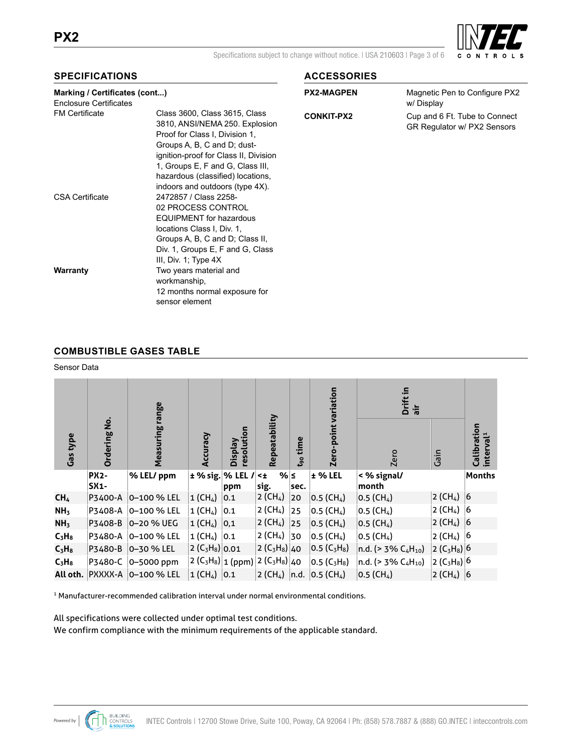

Specifications subject to change without notice. I USA 210603 | Page 3 of 6

### **SPECIFICATIONS**

| Marking / Certificates (cont)<br><b>Enclosure Certificates</b> |                                                                                                                                                                                                                                                                                       | <b>PX2-MAGPEN</b> | Magnetic Pen to Configu<br>w/Display               |
|----------------------------------------------------------------|---------------------------------------------------------------------------------------------------------------------------------------------------------------------------------------------------------------------------------------------------------------------------------------|-------------------|----------------------------------------------------|
| <b>FM Certificate</b>                                          | Class 3600, Class 3615, Class<br>3810, ANSI/NEMA 250. Explosion<br>Proof for Class I, Division 1,<br>Groups A, B, C and D; dust-<br>ignition-proof for Class II, Division<br>1, Groups E, F and G, Class III,<br>hazardous (classified) locations,<br>indoors and outdoors (type 4X). | <b>CONKIT-PX2</b> | Cup and 6 Ft. Tube to Co<br>GR Regulator w/ PX2 Se |
| <b>CSA Certificate</b>                                         | 2472857 / Class 2258-<br>02 PROCESS CONTROL<br><b>EQUIPMENT</b> for hazardous<br>locations Class I, Div. 1,<br>Groups A, B, C and D; Class II,<br>Div. 1, Groups E, F and G, Class<br>III, Div. 1; Type $4X$                                                                          |                   |                                                    |
| Warranty                                                       | Two years material and<br>workmanship,<br>12 months normal exposure for<br>sensor element                                                                                                                                                                                             |                   |                                                    |

### **ACCESSORIES**

| <b>PX2-MAGPEN</b> | Magnetic Pen to Configure PX2<br>w/Display |
|-------------------|--------------------------------------------|
| <b>CONKIT-PX2</b> | Cup and 6 Ft. Tube to Connect              |
|                   | GR Regulator w/ PX2 Sensors                |

### **COMBUSTIBLE GASES TABLE**

### Sensor Data

|                 |                     | range                          |                             |                       |                                                                                        |              | variation                     | Drift in<br>air             |                            |                                                 |
|-----------------|---------------------|--------------------------------|-----------------------------|-----------------------|----------------------------------------------------------------------------------------|--------------|-------------------------------|-----------------------------|----------------------------|-------------------------------------------------|
| <b>Gas type</b> | <b>Ordering No.</b> | Measuring                      | Accuracy                    | resolution<br>Veldsig | Repeatability                                                                          | time<br>ເຈ   | Zero-point                    | Zero                        | Gain                       | ration<br>rval <sup>1</sup><br>Calibr<br>interv |
|                 | <b>PX2-</b><br>SX1- | % LEL/ ppm                     | $±$ % sig. % LEL /          | ppm                   | %∣≤<br>$< +$<br>sig.                                                                   | sec.         | $±$ % LEL                     | < % signal/<br>month        |                            | Months                                          |
| CH <sub>4</sub> | P3400-A             | $ 0 - 100 \%$ LEL              | $1$ (CH <sub>4</sub> )      | 0.1                   | 2 (CH4)                                                                                | 20           | 0.5 (CH <sub>4</sub> )        | 0.5 (CH <sub>4</sub> )      | $2$ (CH <sub>4</sub> )     | 6                                               |
| NH <sub>3</sub> | P3408-A             | 0–100 % LEL                    | 1 (CH4)                     | 0.1                   | $2$ (CH <sub>4</sub> )                                                                 | 25           | 0.5 (CH <sub>4</sub> )        | 0.5 (CH <sub>4</sub> )      | $2$ (CH <sub>4</sub> )     | 16                                              |
| NH <sub>3</sub> | P3408-B             | $ 0 - 20 \% \text{ UEG}$       | $1$ (CH <sub>4</sub> )      | 0,1                   | $2$ (CH <sub>4</sub> )                                                                 | $ 25\rangle$ | 0.5 (CH <sub>4</sub> )        | 0.5 (CH <sub>4</sub> )      | 2 (CH <sub>4</sub> )  6    |                                                 |
| $C_3H_8$        | P3480-A             | $ 0 - 100 \%$ LEL              | 1 (CH <sub>4</sub> ) $ 0.1$ |                       | $2$ (CH <sub>4</sub> )                                                                 | 30           | 0.5 (CH <sub>4</sub> )        | 0.5 (CH <sub>4</sub> )      | 2 (CH <sub>4</sub> ) $ 6 $ |                                                 |
| $C_3H_8$        | P3480-B             | $ 0 - 30 \%$ LEL               | $2 (C_3H_8) 0.01$           |                       | $ 2 (C_3H_8) _{40}$                                                                    |              | $ 0.5 (C_3H_8) $              | $ n.d.  > 3\% C4H10$        | $ 2 (C_3H_8) $ 6           |                                                 |
| $C_3H_8$        | P3480-C             | $ 0 - 5000$ ppm                |                             |                       | 2 (C <sub>3</sub> H <sub>8</sub> )   1 (ppm)   2 (C <sub>3</sub> H <sub>8</sub> )   40 |              | $ 0.5 (C_3H_8) $              | $ n.d.$ (> 3% $C_4H_{10}$ ) | $ 2 (C_3H_8) $ 6           |                                                 |
|                 |                     | All oth. PXXXX-A   0-100 % LEL | $1$ (CH <sub>4</sub> ) 0.1  |                       |                                                                                        |              | $ 2 (CH_4)  n.d.  0.5 (CH_4)$ | 0.5 (CH <sub>4</sub> )      | 2 (CH <sub>4</sub> )  6    |                                                 |

<sup>1</sup> Manufacturer-recommended calibration interval under normal environmental conditions.

All specifications were collected under optimal test conditions.

We confirm compliance with the minimum requirements of the applicable standard.

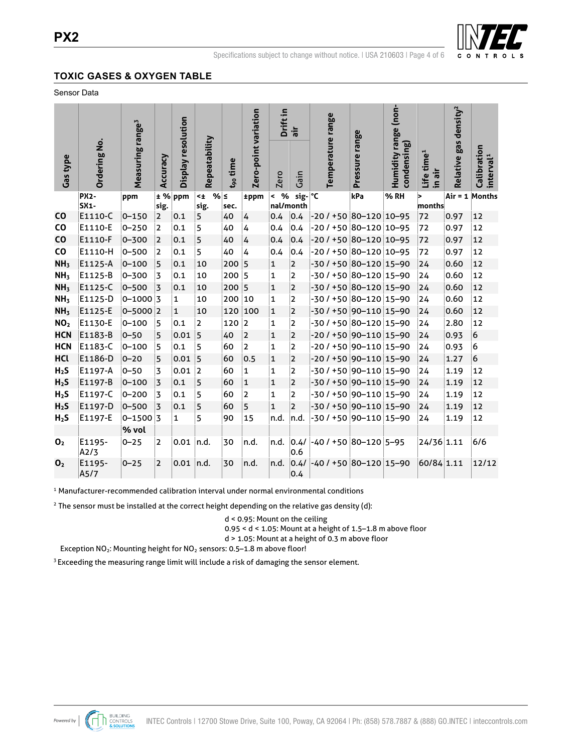

### **TOXIC GASES & OXYGEN TABLE**

**SPECIFICATIONS - SENSOR ELEMENT** Sensor Data

|                  |                       |                              |                |                    |                             |                      |                      |                         | Drift in<br>air                  |                              |                |                                     |                                  |                                   |                                      |
|------------------|-----------------------|------------------------------|----------------|--------------------|-----------------------------|----------------------|----------------------|-------------------------|----------------------------------|------------------------------|----------------|-------------------------------------|----------------------------------|-----------------------------------|--------------------------------------|
| Gas type         | Ordering No.          | Measuring range <sup>3</sup> | Accuracy       | Display resolution | Repeatability               | t <sub>90</sub> time | Zero-point variation | <b>Zero</b>             | Gain                             | Temperature range            | Pressure range | Humidity range (non-<br>condensing) | Life time <sup>1</sup><br>in air | Relative gas density <sup>2</sup> | Calibration<br>interval <sup>1</sup> |
|                  | <b>PX2-</b><br>$SX1-$ | ppm                          | ± %<br>sig.    | ppm                | %∣≤<br>$\leq$ $\pm$<br>sig. | sec.                 | ±ppm                 | %<br>$\,<$              | $sig$ - $\degree$ C<br>nal/month |                              | kPa            | %RH                                 | 15<br>$ $ months $ $             |                                   | Air = 1 Months                       |
| <b>CO</b>        | E1110-C               | $0 - 150$                    | $\overline{2}$ | 0.1                | 5                           | 40                   | $\overline{4}$       | 0.4                     | 0.4                              | -20 / +50 80-120 10-95       |                |                                     | 72                               | 0.97                              | 12                                   |
| <b>CO</b>        | E1110-E               | $0 - 250$                    | 2              | 0.1                | 5                           | 40                   | 4                    | 0.4                     | 0.4                              | -20 / +50 80-120 10-95       |                |                                     | 72                               | 0.97                              | 12                                   |
| <b>CO</b>        | E1110-F               | $0 - 300$                    | $\overline{2}$ | 0.1                | 5                           | 40                   | 4                    | 0.4                     | 0.4                              | $-20/150/80-120/10-95$       |                |                                     | 72                               | 0.97                              | 12                                   |
| CO               | E1110-H               | $0 - 500$                    | 2              | 0.1                | 5                           | 40                   | 4                    | 0.4                     | 0.4                              | $-20/150/80-120/10-95$       |                |                                     | 72                               | 0.97                              | 12                                   |
| NH <sub>3</sub>  | E1125-A               | $0 - 100$                    | 5              | 0.1                | 10                          | 200                  | 5                    | $\mathbf{1}$            | $\mathbf 2$                      | -30 / +50 80-120 15-90       |                |                                     | 24                               | 0.60                              | 12                                   |
| NH <sub>3</sub>  | E1125-B               | $0 - 300$                    | $\overline{3}$ | 0.1                | 10                          | 200                  | 15                   | $\mathbf{1}$            | $\overline{2}$                   | -30 / +50 80-120 15-90       |                |                                     | 24                               | 0.60                              | 12                                   |
| NH <sub>3</sub>  | E1125-C               | $0 - 500$                    | $\overline{3}$ | 0.1                | 10                          | 200                  | 5                    | $\overline{\mathbf{1}}$ | $\overline{\mathbf{c}}$          | -30 / +50 80-120 15-90       |                |                                     | 24                               | 0.60                              | 12                                   |
| NH <sub>3</sub>  | E1125-D               | $0 - 1000$ 3                 |                | $\mathbf{1}$       | 10                          | 200                  | 10                   | $\mathbf{1}$            | $\overline{2}$                   | -30 / +50 80-120 15-90       |                |                                     | 24                               | 0.60                              | 12                                   |
| NH <sub>3</sub>  | E1125-E               | $0 - 5000$ 2                 |                | $\mathbf{1}$       | 10                          | 120                  | 100                  | $\mathbf 1$             | $\overline{2}$                   | -30 / +50 90-110 15-90       |                |                                     | 24                               | 0.60                              | 12                                   |
| NO <sub>2</sub>  | E1130-E               | $0 - 100$                    | 5              | 0.1                | $\overline{2}$              | 120                  | 2                    | $\mathbf{1}$            | $\overline{2}$                   | $-30/150$ 80-120 15-90       |                |                                     | 24                               | 2.80                              | 12                                   |
| <b>HCN</b>       | E1183-B               | $0 - 50$                     | 5              | 0.01               | 5                           | 40                   | 2                    | $\overline{\mathbf{1}}$ | $\overline{2}$                   | -20 / +50 90-110 15-90       |                |                                     | 24                               | 0.93                              | 6                                    |
| <b>HCN</b>       | E1183-C               | $0 - 100$                    | 5              | 0.1                | 5                           | 60                   | $\overline{2}$       | $\mathbf{1}$            | $\overline{2}$                   | -20 / +50 90-110 15-90       |                |                                     | 24                               | 0.93                              | 6                                    |
| <b>HCl</b>       | E1186-D               | $0 - 20$                     | 5              | 0.01               | 5                           | 60                   | 0.5                  | $\mathbf 1$             | $\overline{2}$                   | $-20/150$ 90 $-110$ 15 $-90$ |                |                                     | 24                               | 1.27                              | 6                                    |
| H <sub>2</sub> S | E1197-A               | $0 - 50$                     | 3              | 0.01               | 2                           | 60                   | $\mathbf{1}$         | $\mathbf{1}$            | $\overline{2}$                   | -30 / +50 90-110 15-90       |                |                                     | 24                               | 1.19                              | 12                                   |
| H <sub>2</sub> S | E1197-B               | $0 - 100$                    | $\overline{3}$ | 0.1                | 5                           | 60                   | $\mathbf{1}$         | $\mathbf{1}$            | $\overline{2}$                   | -30 / +50 90-110 15-90       |                |                                     | 24                               | 1.19                              | 12                                   |
| H <sub>2</sub> S | E1197-C               | $0 - 200$                    | 3              | 0.1                | 5                           | 60                   | $\overline{2}$       | $\mathbf{1}$            | $\overline{2}$                   | -30 / +50 90-110 15-90       |                |                                     | 24                               | 1.19                              | 12                                   |
| H <sub>2</sub> S | E1197-D               | $0 - 500$                    | $\overline{3}$ | 0.1                | 5                           | 60                   | 5                    | $\mathbf{1}$            | $\overline{2}$                   | -30 / +50 90-110 15-90       |                |                                     | 24                               | 1.19                              | 12                                   |
| H <sub>2</sub> S | E1197-E               | $0 - 1500$ 3                 |                | $\mathbf{1}$       | 5                           | 90                   | 15                   | n.d.                    | n.d.                             | -30 / +50 90-110 15-90       |                |                                     | 24                               | 1.19                              | 12                                   |
|                  |                       | % vol                        |                |                    |                             |                      |                      |                         |                                  |                              |                |                                     |                                  |                                   |                                      |
| O <sub>2</sub>   | E1195-<br>A2/3        | $0 - 25$                     | $\overline{2}$ | 0.01               | n.d.                        | 30                   | n.d.                 | n.d.                    | 0.4/<br>0.6                      | $-40/15080-1205-95$          |                |                                     | 24/36 1.11                       |                                   | 6/6                                  |
| $\mathbf{0}$     | E1195-<br>A5/7        | $0 - 25$                     | $\overline{2}$ | 0.01               | n.d.                        | 30                   | n.d.                 | n.d.                    | 0.4/<br> 0.4                     | -40 / +50 80-120 15-90       |                |                                     | 60/84 1.11                       |                                   | 12/12                                |

<sup>1</sup> Manufacturer-recommended calibration interval under normal environmental conditions

<sup>2</sup> The sensor must be installed at the correct height depending on the relative gas density (d):

d < 0.95: Mount on the ceiling

0.95 < d < 1.05: Mount at a height of 1.5–1.8 m above floor

d > 1.05: Mount at a height of 0.3 m above floor

Exception NO<sub>2</sub>: Mounting height for NO<sub>2</sub> sensors: 0.5-1.8 m above floor!

<sup>3</sup> Exceeding the measuring range limit will include a risk of damaging the sensor element.

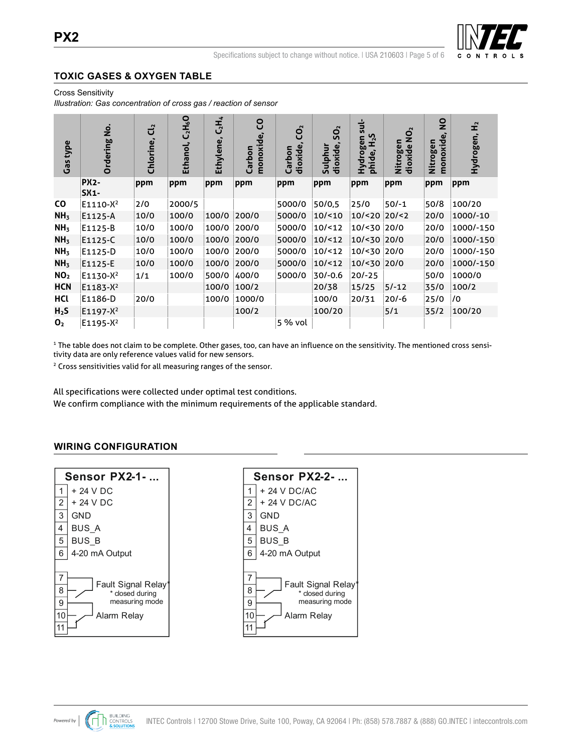

# **TOXIC GASES & OXYGEN TABLE CROSS SENSITIVITY<sup>1</sup> - SENSOR ELEMENT**

**Cross Sensitivity Gassilicity Cross gas** *Sensitivity* **Gassilicity Cross gas** *Cross* **gas** *Cross* **gas** *Cross* **gas** *Cross* **gas** *Cross* **gas** *Cross* **gas** *Cross* **gas** *Cross* **gas** *Cross* **gas** *Cross* **gas** *Cross* **gas** *Cros* 

*Illustration: Gas concentration of cross gas / reaction of sensor*

| <b>Gas type</b>  | <u>ş</u><br>Ordering       | ರೆ<br>Chlorine, | $C_2H_6O$<br>Ethanol, | $C_2H_4$<br>Ethylene, | S<br>monoxide,<br>Carbon | CO <sub>2</sub><br>dioxide<br>Carbon | SO <sub>2</sub><br>dioxide,<br>Sulphur | $\frac{1}{5}$<br>$E_{2}$<br>Hydrogen<br>phide, | $\mathbf{Q}_2$<br>Nitrogen<br>dioxide | $\overline{\mathbf{z}}$<br>monoxide<br>Nitrogen | £<br>Hydrogen, |
|------------------|----------------------------|-----------------|-----------------------|-----------------------|--------------------------|--------------------------------------|----------------------------------------|------------------------------------------------|---------------------------------------|-------------------------------------------------|----------------|
|                  | <b>PX2-</b><br><b>SX1-</b> | ppm             | ppm                   | ppm                   | ppm                      | ppm                                  | ppm                                    | ppm                                            | ppm                                   | ppm                                             | ppm            |
| <b>CO</b>        | E1110-X <sup>2</sup>       | 2/0             | 2000/5                |                       |                          | 5000/0                               | 50/0,5                                 | 25/0                                           | $50/-1$                               | 50/8                                            | 100/20         |
| NH <sub>3</sub>  | E1125-A                    | 10/0            | 100/0                 | 100/0                 | 200/0                    | 5000/0                               | 10/10                                  | $10$ /<20 $ 20$ /<2                            |                                       | 20/0                                            | 1000/-10       |
| NH <sub>3</sub>  | E1125-B                    | 10/0            | 100/0                 | 100/0                 | 200/0                    | 5000/0                               | 10/12                                  | 10/<30 20/0                                    |                                       | 20/0                                            | 1000/-150      |
| NH <sub>3</sub>  | E1125-C                    | 10/0            | 100/0                 | 100/0                 | 200/0                    | 5000/0                               | 10/12                                  | 10/<30 20/0                                    |                                       | 20/0                                            | 1000/-150      |
| NH <sub>3</sub>  | E1125-D                    | 10/0            | 100/0                 | 100/0                 | 200/0                    | 5000/0                               | 10/12                                  | 10/<30 20/0                                    |                                       | 20/0                                            | 1000/-150      |
| NH <sub>3</sub>  | E1125-E                    | 10/0            | 100/0                 | 100/0                 | 200/0                    | 5000/0                               | 10/12                                  | 10/<30 20/0                                    |                                       | 20/0                                            | 1000/-150      |
| NO <sub>2</sub>  | $E1130 - X^2$              | 1/1             | 100/0                 | 500/0                 | 400/0                    | 5000/0                               | $30/-0.6$                              | $20/-25$                                       |                                       | 50/0                                            | 1000/0         |
| <b>HCN</b>       | $E1183-X^2$                |                 |                       | 100/0                 | 100/2                    |                                      | 20/38                                  | 15/25                                          | $5/-12$                               | 35/0                                            | 100/2          |
| HCl              | E1186-D                    | 20/0            |                       | 100/0                 | 1000/0                   |                                      | 100/0                                  | 20/31                                          | $20/-6$                               | 25/0                                            | 0/             |
| H <sub>2</sub> S | E1197-X <sup>2</sup>       |                 |                       |                       | 100/2                    |                                      | 100/20                                 |                                                | 5/1                                   | 35/2                                            | 100/20         |
| $\mathbf{0}_2$   | $E1195-X^2$                |                 |                       |                       |                          | 5 % vol                              |                                        |                                                |                                       |                                                 |                |

<sup>1</sup> The table does not claim to be complete. Other gases, too, can have an influence on the sensitivity. The mentioned cross sensitivity data are only reference values valid for new sensors. tivity data are only reference values valid for new sensors.

<sup>2</sup> Cross sensitivities valid for all measuring ranges of the sensor. <sup>2</sup> Cross sensitivities valid for all measuring ranges of the sensor.

All specifications were collected under optimal test conditions. All specifications were collected under optimal test conditions.

We confirm compliance with the minimum requirements of the applicable standard. We confirm compliance with the minimum requirements of the applicable standard.

# **WIRING CONFIGURATION**